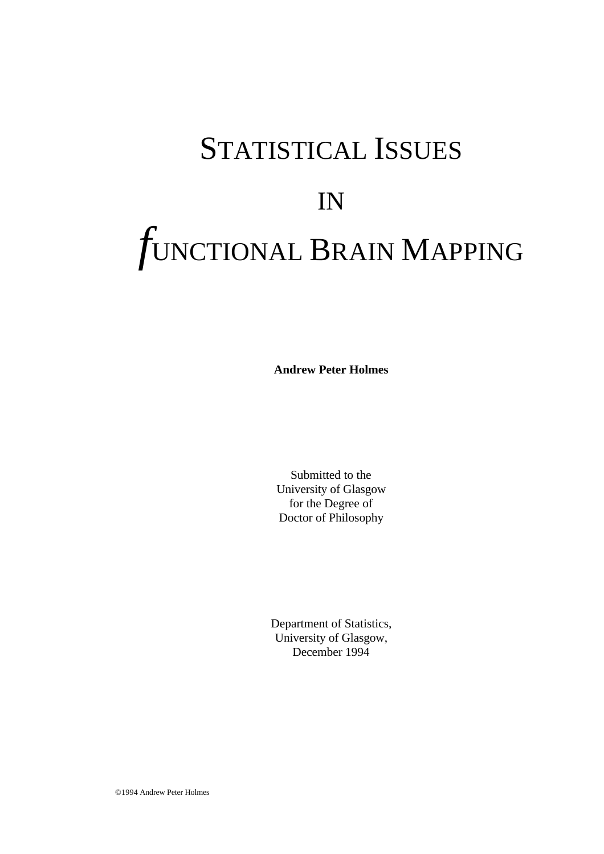# STATISTICAL ISSUES IN *f*UNCTIONAL BRAIN MAPPING

**Andrew Peter Holmes**

Submitted to the University of Glasgow for the Degree of Doctor of Philosophy

Department of Statistics, University of Glasgow, December 1994

©1994 Andrew Peter Holmes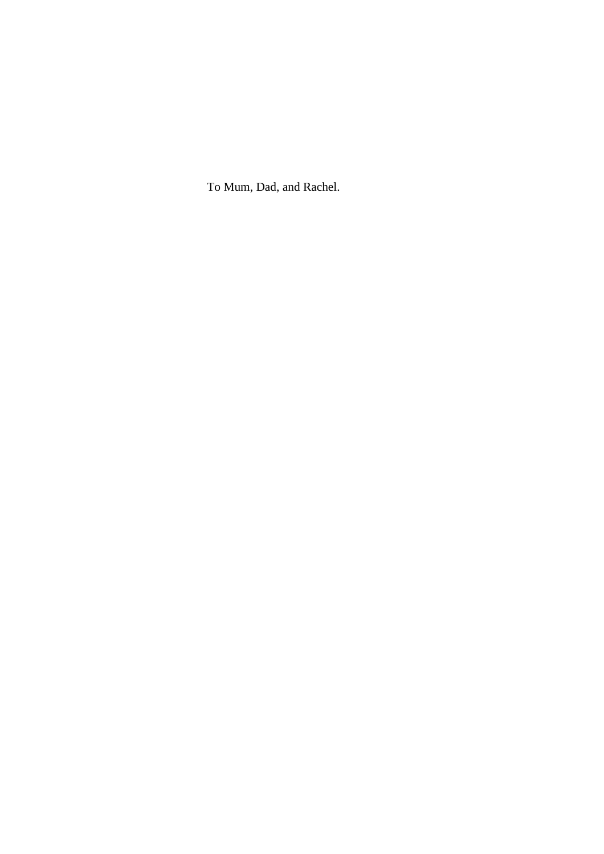To Mum, Dad, and Rachel.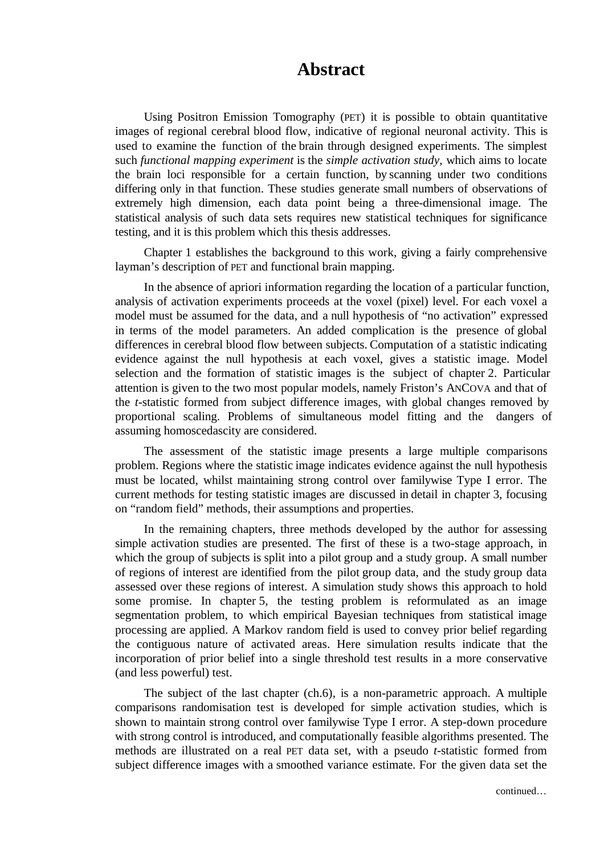#### **Abstract**

Using Positron Emission Tomography (PET) it is possible to obtain quantitative images of regional cerebral blood flow, indicative of regional neuronal activity. This is used to examine the function of the brain through designed experiments. The simplest such *functional mapping experiment* is the *simple activation study*, which aims to locate the brain loci responsible for a certain function, by scanning under two conditions differing only in that function. These studies generate small numbers of observations of extremely high dimension, each data point being a three-dimensional image. The statistical analysis of such data sets requires new statistical techniques for significance testing, and it is this problem which this thesis addresses.

Chapter 1 establishes the background to this work, giving a fairly comprehensive layman's description of PET and functional brain mapping.

In the absence of apriori information regarding the location of a particular function, analysis of activation experiments proceeds at the voxel (pixel) level. For each voxel a model must be assumed for the data, and a null hypothesis of "no activation" expressed in terms of the model parameters. An added complication is the presence of global differences in cerebral blood flow between subjects. Computation of a statistic indicating evidence against the null hypothesis at each voxel, gives a statistic image. Model selection and the formation of statistic images is the subject of chapter 2. Particular attention is given to the two most popular models, namely Friston's ANCOVA and that of the *t*-statistic formed from subject difference images, with global changes removed by proportional scaling. Problems of simultaneous model fitting and the dangers of assuming homoscedascity are considered.

The assessment of the statistic image presents a large multiple comparisons problem. Regions where the statistic image indicates evidence against the null hypothesis must be located, whilst maintaining strong control over familywise Type I error. The current methods for testing statistic images are discussed in detail in chapter 3, focusing on "random field" methods, their assumptions and properties.

In the remaining chapters, three methods developed by the author for assessing simple activation studies are presented. The first of these is a two-stage approach, in which the group of subjects is split into a pilot group and a study group. A small number of regions of interest are identified from the pilot group data, and the study group data assessed over these regions of interest. A simulation study shows this approach to hold some promise. In chapter 5, the testing problem is reformulated as an image segmentation problem, to which empirical Bayesian techniques from statistical image processing are applied. A Markov random field is used to convey prior belief regarding the contiguous nature of activated areas. Here simulation results indicate that the incorporation of prior belief into a single threshold test results in a more conservative (and less powerful) test.

The subject of the last chapter (ch.6), is a non-parametric approach. A multiple comparisons randomisation test is developed for simple activation studies, which is shown to maintain strong control over familywise Type I error. A step-down procedure with strong control is introduced, and computationally feasible algorithms presented. The methods are illustrated on a real PET data set, with a pseudo *t*-statistic formed from subject difference images with a smoothed variance estimate. For the given data set the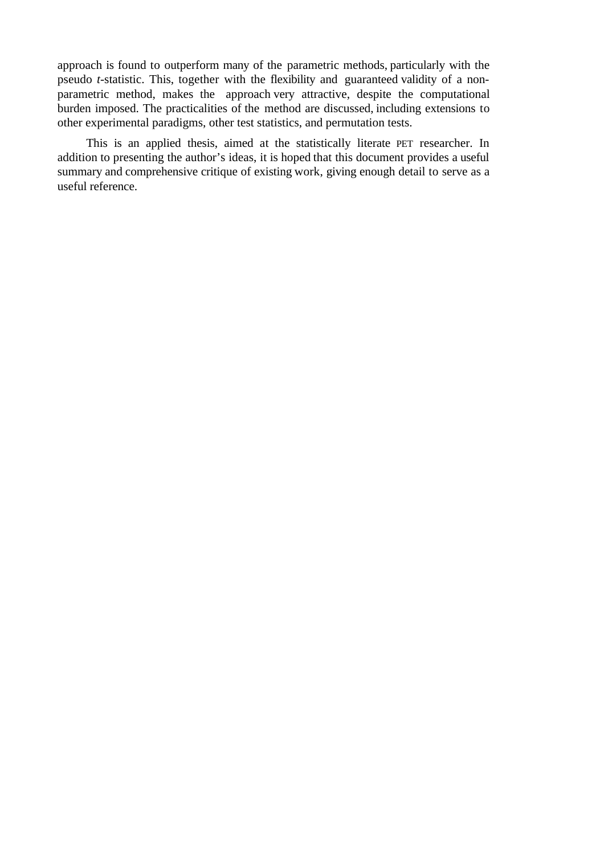approach is found to outperform many of the parametric methods, particularly with the pseudo *t*-statistic. This, together with the flexibility and guaranteed validity of a nonparametric method, makes the approach very attractive, despite the computational burden imposed. The practicalities of the method are discussed, including extensions to other experimental paradigms, other test statistics, and permutation tests.

This is an applied thesis, aimed at the statistically literate PET researcher. In addition to presenting the author's ideas, it is hoped that this document provides a useful summary and comprehensive critique of existing work, giving enough detail to serve as a useful reference.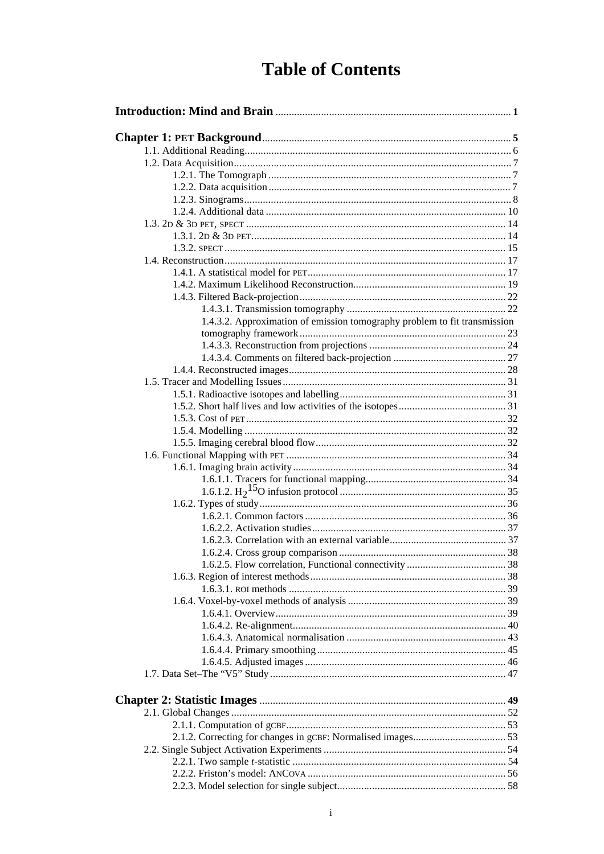### **Table of Contents**

| 1.4.3.2. Approximation of emission tomography problem to fit transmission |  |
|---------------------------------------------------------------------------|--|
|                                                                           |  |
|                                                                           |  |
|                                                                           |  |
|                                                                           |  |
|                                                                           |  |
|                                                                           |  |
|                                                                           |  |
|                                                                           |  |
|                                                                           |  |
|                                                                           |  |
|                                                                           |  |
|                                                                           |  |
|                                                                           |  |
|                                                                           |  |
|                                                                           |  |
|                                                                           |  |
|                                                                           |  |
|                                                                           |  |
|                                                                           |  |
|                                                                           |  |
|                                                                           |  |
|                                                                           |  |
|                                                                           |  |
|                                                                           |  |
|                                                                           |  |
|                                                                           |  |
|                                                                           |  |
|                                                                           |  |
|                                                                           |  |
|                                                                           |  |
|                                                                           |  |
|                                                                           |  |
|                                                                           |  |
|                                                                           |  |
|                                                                           |  |
|                                                                           |  |
|                                                                           |  |
|                                                                           |  |
|                                                                           |  |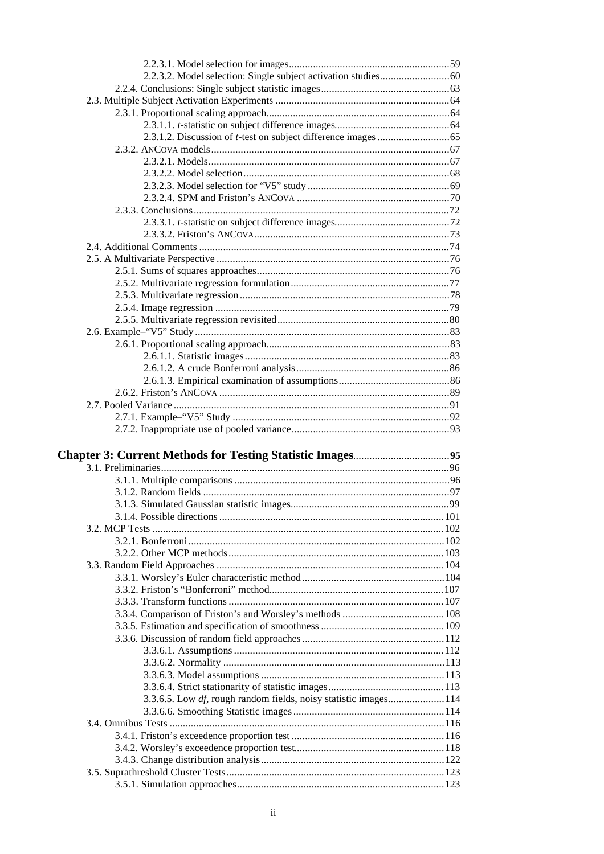| 3.3.6.5. Low df, rough random fields, noisy statistic images114 |  |
|-----------------------------------------------------------------|--|
|                                                                 |  |
|                                                                 |  |
|                                                                 |  |
|                                                                 |  |
|                                                                 |  |
|                                                                 |  |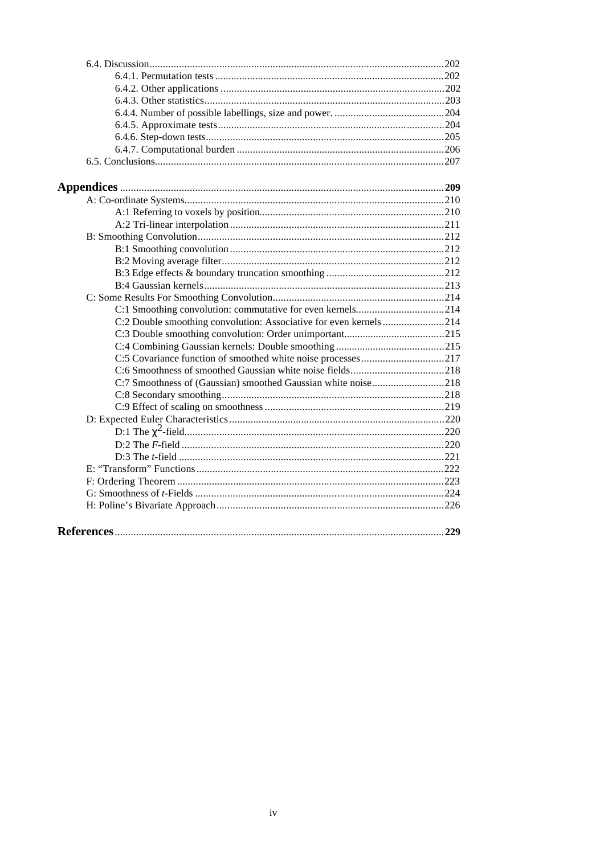| C:2 Double smoothing convolution: Associative for even kernels214 |  |
|-------------------------------------------------------------------|--|
|                                                                   |  |
|                                                                   |  |
|                                                                   |  |
|                                                                   |  |
|                                                                   |  |
|                                                                   |  |
|                                                                   |  |
|                                                                   |  |
|                                                                   |  |
|                                                                   |  |
|                                                                   |  |
|                                                                   |  |
|                                                                   |  |
|                                                                   |  |
|                                                                   |  |
|                                                                   |  |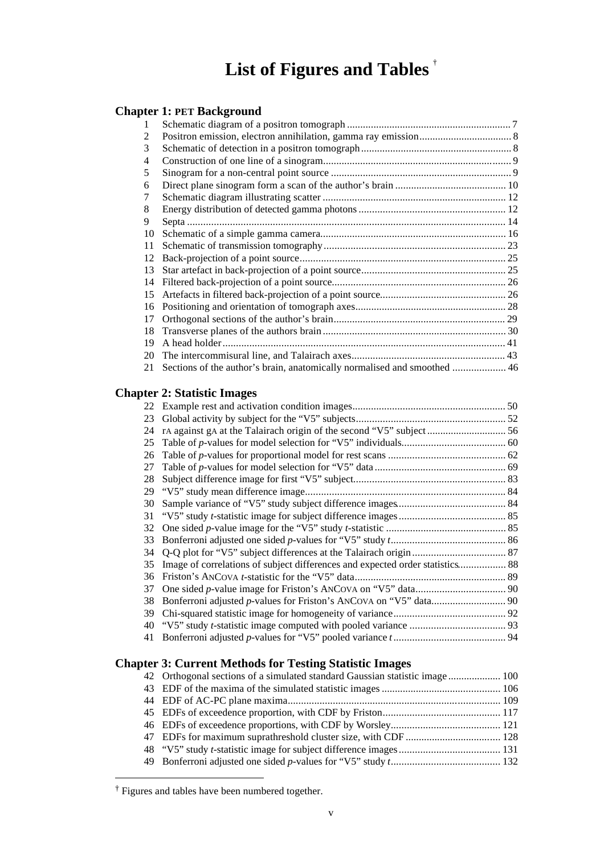### **List of Figures and Tables** †

#### **Chapter 1: PET Background**

| 3  |                                                                          |  |
|----|--------------------------------------------------------------------------|--|
| 4  |                                                                          |  |
| 5  |                                                                          |  |
| 6  |                                                                          |  |
|    |                                                                          |  |
| 8  |                                                                          |  |
| 9  |                                                                          |  |
| 10 |                                                                          |  |
| 11 |                                                                          |  |
| 12 |                                                                          |  |
| 13 |                                                                          |  |
| 14 |                                                                          |  |
| 15 |                                                                          |  |
| 16 |                                                                          |  |
| 17 |                                                                          |  |
| 18 |                                                                          |  |
| 19 |                                                                          |  |
| 20 |                                                                          |  |
| 21 | Sections of the author's brain, anatomically normalised and smoothed  46 |  |

#### **Chapter 2: Statistic Images**

| 22 |                                                                               |  |
|----|-------------------------------------------------------------------------------|--|
| 23 |                                                                               |  |
| 24 |                                                                               |  |
| 25 |                                                                               |  |
| 26 |                                                                               |  |
| 27 |                                                                               |  |
| 28 |                                                                               |  |
| 29 |                                                                               |  |
| 30 |                                                                               |  |
| 31 |                                                                               |  |
| 32 |                                                                               |  |
| 33 |                                                                               |  |
| 34 |                                                                               |  |
| 35 | Image of correlations of subject differences and expected order statistics 88 |  |
| 36 |                                                                               |  |
| 37 |                                                                               |  |
| 38 |                                                                               |  |
| 39 |                                                                               |  |
| 40 |                                                                               |  |
| 41 |                                                                               |  |
|    |                                                                               |  |

#### **Chapter 3: Current Methods for Testing Statistic Images**

| 42 Orthogonal sections of a simulated standard Gaussian statistic image  100 |  |
|------------------------------------------------------------------------------|--|
|                                                                              |  |
|                                                                              |  |
|                                                                              |  |
|                                                                              |  |
|                                                                              |  |
|                                                                              |  |
|                                                                              |  |

<sup>†</sup> Figures and tables have been numbered together.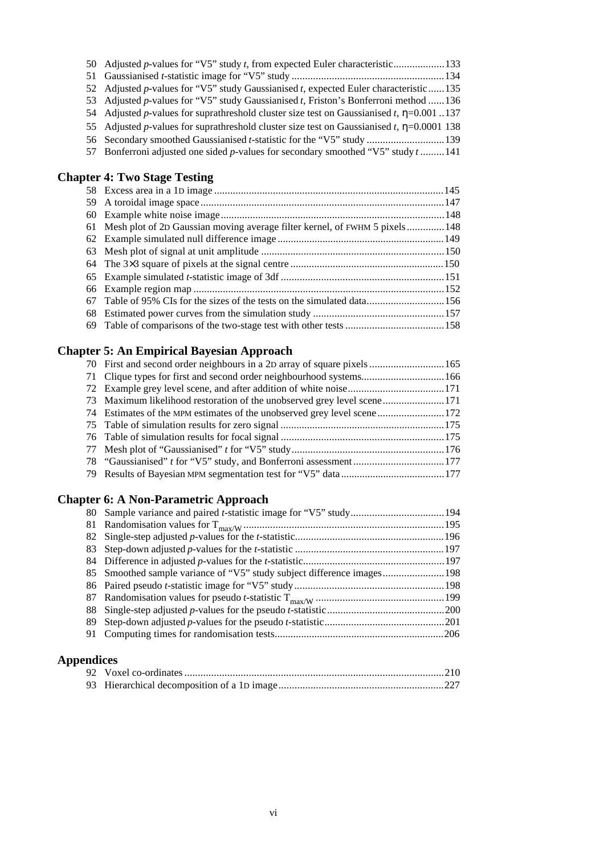| 50 Adjusted p-values for "V5" study t, from expected Euler characteristic133                    |  |
|-------------------------------------------------------------------------------------------------|--|
|                                                                                                 |  |
| 52 Adjusted p-values for "V5" study Gaussianised t, expected Euler characteristic135            |  |
| 53 Adjusted p-values for "V5" study Gaussianised t, Friston's Bonferroni method  136            |  |
| 54 Adjusted p-values for suprathreshold cluster size test on Gaussianised t, $\eta$ =0.001.137  |  |
| 55 Adjusted p-values for suprathreshold cluster size test on Gaussianised t, $\eta$ =0.0001 138 |  |
| 56 Secondary smoothed Gaussianised <i>t</i> -statistic for the "V5" study 139                   |  |
| 57 Bonferroni adjusted one sided p-values for secondary smoothed "V5" study t141                |  |
| <b>Chapter 4: Two Stage Testing</b>                                                             |  |
|                                                                                                 |  |
|                                                                                                 |  |
|                                                                                                 |  |

| 61 Mesh plot of 2D Gaussian moving average filter kernel, of FWHM 5 pixels148 |  |
|-------------------------------------------------------------------------------|--|
|                                                                               |  |
|                                                                               |  |
|                                                                               |  |
|                                                                               |  |
|                                                                               |  |
|                                                                               |  |
|                                                                               |  |
|                                                                               |  |

69 Table of comparisons of the two-stage test with other tests.....................................158

#### **Chapter 5: An Empirical Bayesian Approach**

| 73 Maximum likelihood restoration of the unobserved grey level scene171 |  |
|-------------------------------------------------------------------------|--|
|                                                                         |  |
|                                                                         |  |
|                                                                         |  |
|                                                                         |  |
|                                                                         |  |
|                                                                         |  |
|                                                                         |  |

#### **Chapter 6: A Non-Parametric Approach**

#### **Appendices**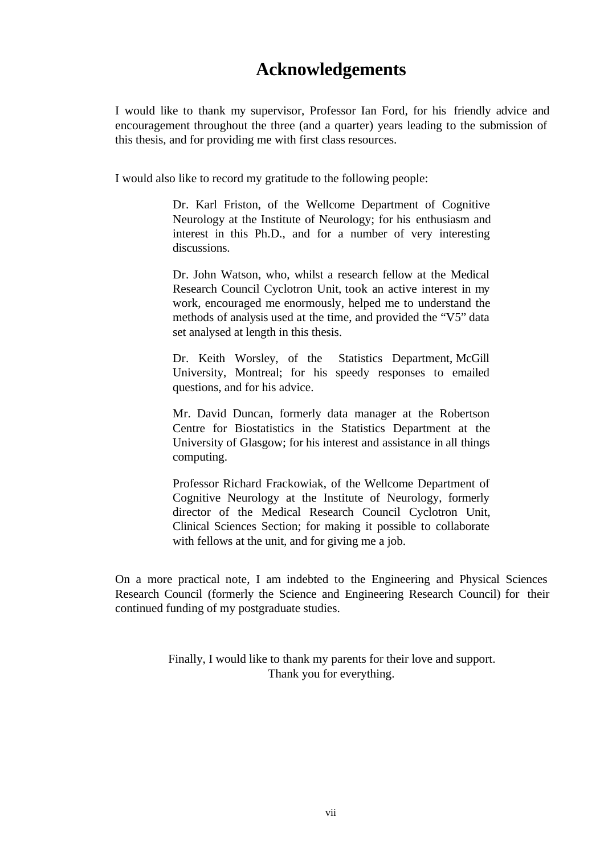### **Acknowledgements**

I would like to thank my supervisor, Professor Ian Ford, for his friendly advice and encouragement throughout the three (and a quarter) years leading to the submission of this thesis, and for providing me with first class resources.

I would also like to record my gratitude to the following people:

Dr. Karl Friston, of the Wellcome Department of Cognitive Neurology at the Institute of Neurology; for his enthusiasm and interest in this Ph.D., and for a number of very interesting discussions.

Dr. John Watson, who, whilst a research fellow at the Medical Research Council Cyclotron Unit, took an active interest in my work, encouraged me enormously, helped me to understand the methods of analysis used at the time, and provided the "V5" data set analysed at length in this thesis.

Dr. Keith Worsley, of the Statistics Department, McGill University, Montreal; for his speedy responses to emailed questions, and for his advice.

Mr. David Duncan, formerly data manager at the Robertson Centre for Biostatistics in the Statistics Department at the University of Glasgow; for his interest and assistance in all things computing.

Professor Richard Frackowiak, of the Wellcome Department of Cognitive Neurology at the Institute of Neurology, formerly director of the Medical Research Council Cyclotron Unit, Clinical Sciences Section; for making it possible to collaborate with fellows at the unit, and for giving me a job.

On a more practical note, I am indebted to the Engineering and Physical Sciences Research Council (formerly the Science and Engineering Research Council) for their continued funding of my postgraduate studies.

> Finally, I would like to thank my parents for their love and support. Thank you for everything.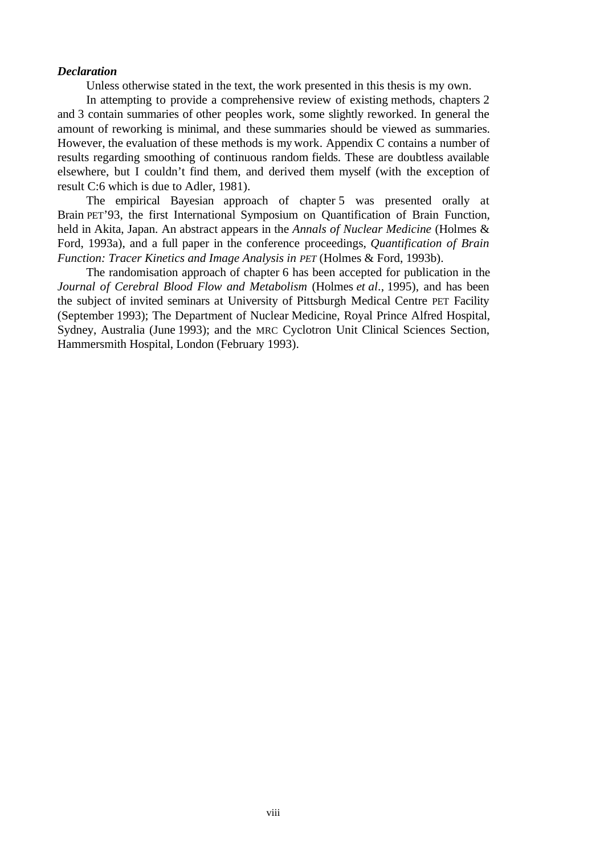#### *Declaration*

Unless otherwise stated in the text, the work presented in this thesis is my own.

In attempting to provide a comprehensive review of existing methods, chapters 2 and 3 contain summaries of other peoples work, some slightly reworked. In general the amount of reworking is minimal, and these summaries should be viewed as summaries. However, the evaluation of these methods is my work. Appendix C contains a number of results regarding smoothing of continuous random fields. These are doubtless available elsewhere, but I couldn't find them, and derived them myself (with the exception of result C:6 which is due to Adler, 1981).

The empirical Bayesian approach of chapter 5 was presented orally at Brain PET'93, the first International Symposium on Quantification of Brain Function, held in Akita, Japan. An abstract appears in the *Annals of Nuclear Medicine* (Holmes & Ford, 1993a), and a full paper in the conference proceedings, *Quantification of Brain Function: Tracer Kinetics and Image Analysis in PET* (Holmes & Ford, 1993b).

The randomisation approach of chapter 6 has been accepted for publication in the *Journal of Cerebral Blood Flow and Metabolism* (Holmes *et al*., 1995), and has been the subject of invited seminars at University of Pittsburgh Medical Centre PET Facility (September 1993); The Department of Nuclear Medicine, Royal Prince Alfred Hospital, Sydney, Australia (June 1993); and the MRC Cyclotron Unit Clinical Sciences Section, Hammersmith Hospital, London (February 1993).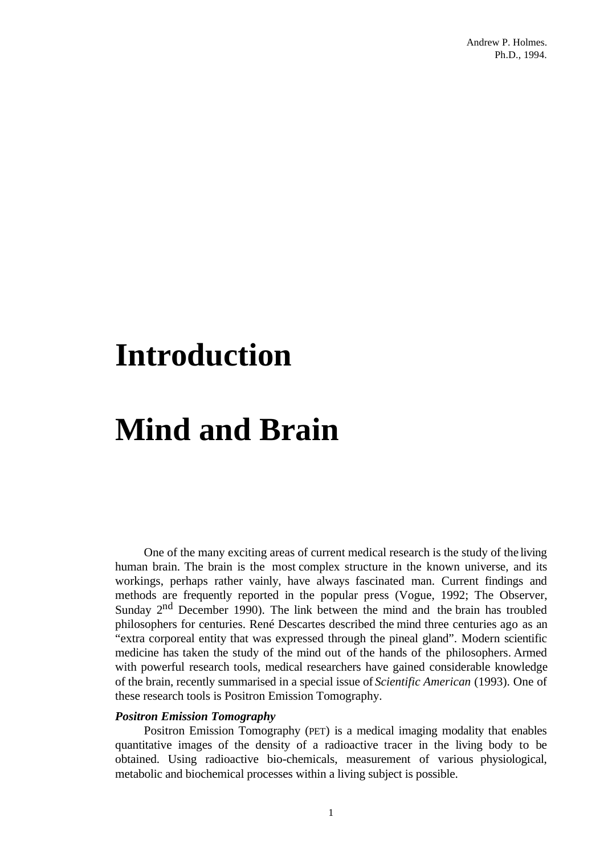## **Introduction**

# **Mind and Brain**

One of the many exciting areas of current medical research is the study of the living human brain. The brain is the most complex structure in the known universe, and its workings, perhaps rather vainly, have always fascinated man. Current findings and methods are frequently reported in the popular press (Vogue, 1992; The Observer, Sunday  $2<sup>nd</sup>$  December 1990). The link between the mind and the brain has troubled philosophers for centuries. René Descartes described the mind three centuries ago as an "extra corporeal entity that was expressed through the pineal gland". Modern scientific medicine has taken the study of the mind out of the hands of the philosophers. Armed with powerful research tools, medical researchers have gained considerable knowledge of the brain, recently summarised in a special issue of *Scientific American* (1993). One of these research tools is Positron Emission Tomography.

#### *Positron Emission Tomography*

Positron Emission Tomography (PET) is a medical imaging modality that enables quantitative images of the density of a radioactive tracer in the living body to be obtained. Using radioactive bio-chemicals, measurement of various physiological, metabolic and biochemical processes within a living subject is possible.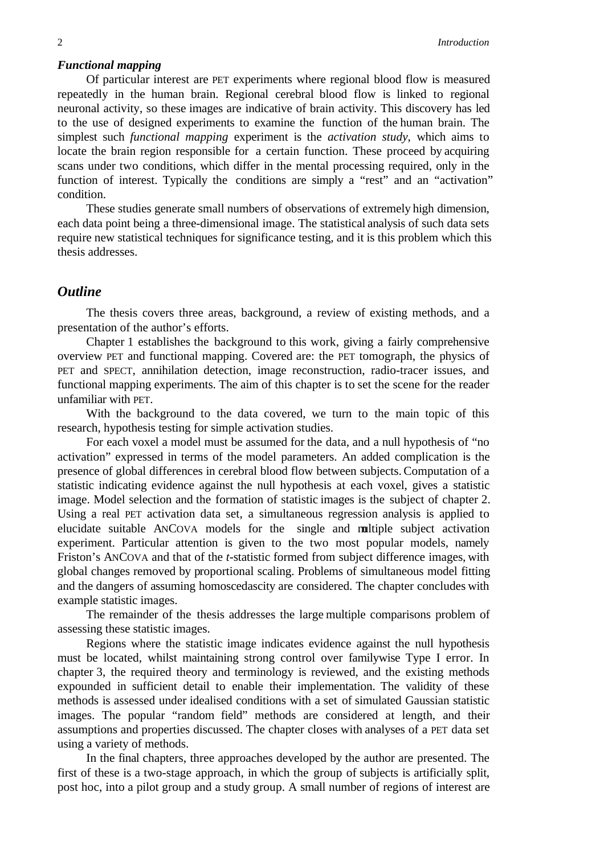#### *Functional mapping*

Of particular interest are PET experiments where regional blood flow is measured repeatedly in the human brain. Regional cerebral blood flow is linked to regional neuronal activity, so these images are indicative of brain activity. This discovery has led to the use of designed experiments to examine the function of the human brain. The simplest such *functional mapping* experiment is the *activation study*, which aims to locate the brain region responsible for a certain function. These proceed by acquiring scans under two conditions, which differ in the mental processing required, only in the function of interest. Typically the conditions are simply a "rest" and an "activation" condition.

These studies generate small numbers of observations of extremely high dimension, each data point being a three-dimensional image. The statistical analysis of such data sets require new statistical techniques for significance testing, and it is this problem which this thesis addresses.

#### *Outline*

The thesis covers three areas, background, a review of existing methods, and a presentation of the author's efforts.

Chapter 1 establishes the background to this work, giving a fairly comprehensive overview PET and functional mapping. Covered are: the PET tomograph, the physics of PET and SPECT, annihilation detection, image reconstruction, radio-tracer issues, and functional mapping experiments. The aim of this chapter is to set the scene for the reader unfamiliar with PET.

With the background to the data covered, we turn to the main topic of this research, hypothesis testing for simple activation studies.

For each voxel a model must be assumed for the data, and a null hypothesis of "no activation" expressed in terms of the model parameters. An added complication is the presence of global differences in cerebral blood flow between subjects. Computation of a statistic indicating evidence against the null hypothesis at each voxel, gives a statistic image. Model selection and the formation of statistic images is the subject of chapter 2. Using a real PET activation data set, a simultaneous regression analysis is applied to elucidate suitable ANCOVA models for the single and multiple subject activation experiment. Particular attention is given to the two most popular models, namely Friston's ANCOVA and that of the *t*-statistic formed from subject difference images, with global changes removed by proportional scaling. Problems of simultaneous model fitting and the dangers of assuming homoscedascity are considered. The chapter concludes with example statistic images.

The remainder of the thesis addresses the large multiple comparisons problem of assessing these statistic images.

Regions where the statistic image indicates evidence against the null hypothesis must be located, whilst maintaining strong control over familywise Type I error. In chapter 3, the required theory and terminology is reviewed, and the existing methods expounded in sufficient detail to enable their implementation. The validity of these methods is assessed under idealised conditions with a set of simulated Gaussian statistic images. The popular "random field" methods are considered at length, and their assumptions and properties discussed. The chapter closes with analyses of a PET data set using a variety of methods.

In the final chapters, three approaches developed by the author are presented. The first of these is a two-stage approach, in which the group of subjects is artificially split, post hoc, into a pilot group and a study group. A small number of regions of interest are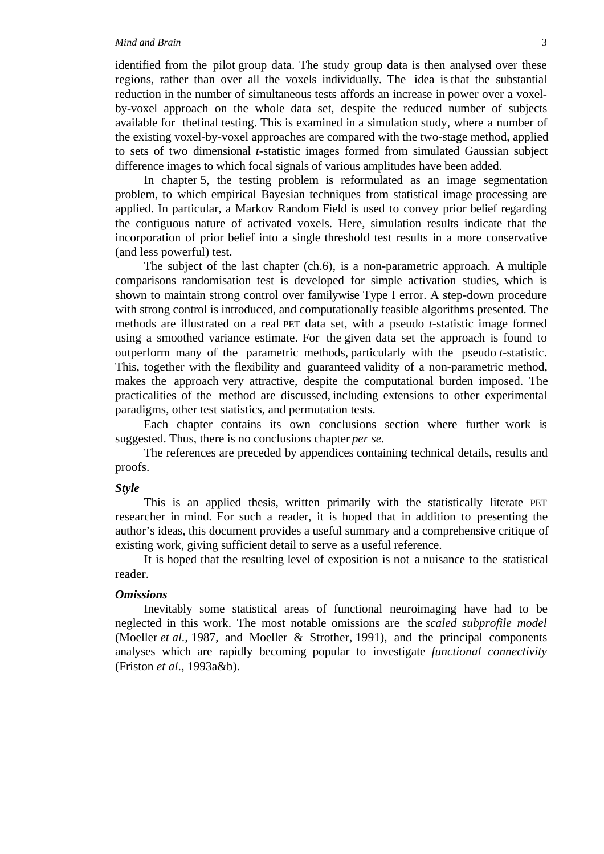#### *Mind and Brain* 3

identified from the pilot group data. The study group data is then analysed over these regions, rather than over all the voxels individually. The idea is that the substantial reduction in the number of simultaneous tests affords an increase in power over a voxelby-voxel approach on the whole data set, despite the reduced number of subjects available for the final testing. This is examined in a simulation study, where a number of the existing voxel-by-voxel approaches are compared with the two-stage method, applied to sets of two dimensional *t*-statistic images formed from simulated Gaussian subject difference images to which focal signals of various amplitudes have been added.

In chapter 5, the testing problem is reformulated as an image segmentation problem, to which empirical Bayesian techniques from statistical image processing are applied. In particular, a Markov Random Field is used to convey prior belief regarding the contiguous nature of activated voxels. Here, simulation results indicate that the incorporation of prior belief into a single threshold test results in a more conservative (and less powerful) test.

The subject of the last chapter (ch.6), is a non-parametric approach. A multiple comparisons randomisation test is developed for simple activation studies, which is shown to maintain strong control over familywise Type I error. A step-down procedure with strong control is introduced, and computationally feasible algorithms presented. The methods are illustrated on a real PET data set, with a pseudo *t*-statistic image formed using a smoothed variance estimate. For the given data set the approach is found to outperform many of the parametric methods, particularly with the pseudo *t*-statistic. This, together with the flexibility and guaranteed validity of a non-parametric method, makes the approach very attractive, despite the computational burden imposed. The practicalities of the method are discussed, including extensions to other experimental paradigms, other test statistics, and permutation tests.

Each chapter contains its own conclusions section where further work is suggested. Thus, there is no conclusions chapter *per se*.

The references are preceded by appendices containing technical details, results and proofs.

#### *Style*

This is an applied thesis, written primarily with the statistically literate PET researcher in mind. For such a reader, it is hoped that in addition to presenting the author's ideas, this document provides a useful summary and a comprehensive critique of existing work, giving sufficient detail to serve as a useful reference.

It is hoped that the resulting level of exposition is not a nuisance to the statistical reader.

#### *Omissions*

Inevitably some statistical areas of functional neuroimaging have had to be neglected in this work. The most notable omissions are the *scaled subprofile model* (Moeller *et al*., 1987, and Moeller & Strother, 1991), and the principal components analyses which are rapidly becoming popular to investigate *functional connectivity* (Friston *et al*., 1993a&b).